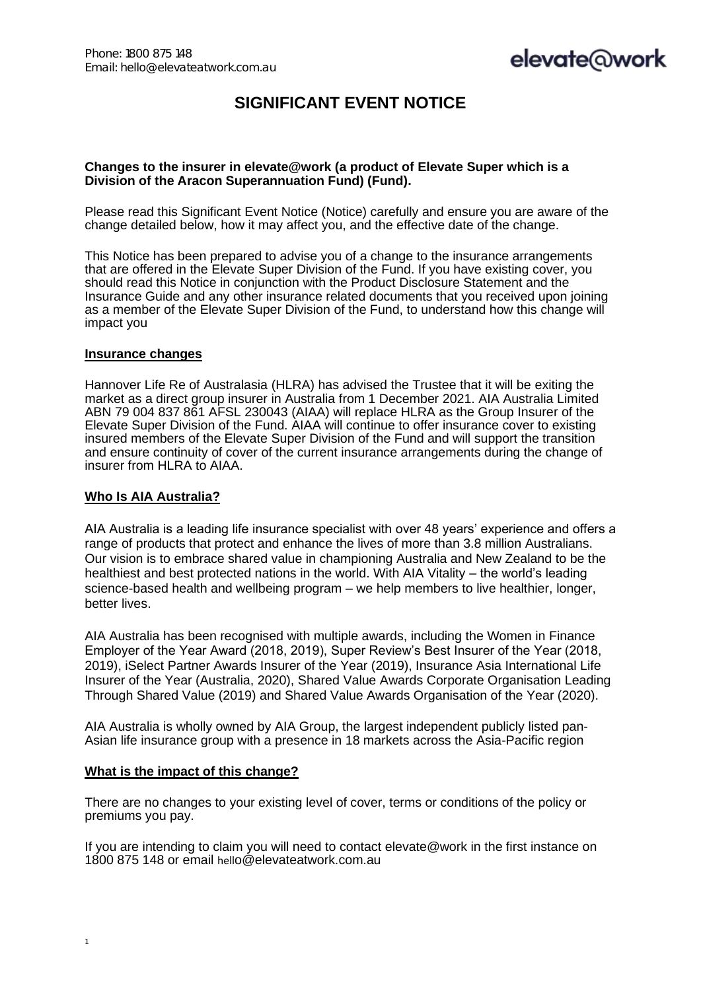# **SIGNIFICANT EVENT NOTICE**

# **Changes to the insurer in elevate@work (a product of Elevate Super which is a Division of the Aracon Superannuation Fund) (Fund).**

Please read this Significant Event Notice (Notice) carefully and ensure you are aware of the change detailed below, how it may affect you, and the effective date of the change.

This Notice has been prepared to advise you of a change to the insurance arrangements that are offered in the Elevate Super Division of the Fund. If you have existing cover, you should read this Notice in conjunction with the Product Disclosure Statement and the Insurance Guide and any other insurance related documents that you received upon joining as a member of the Elevate Super Division of the Fund, to understand how this change will impact you

#### **Insurance changes**

Hannover Life Re of Australasia (HLRA) has advised the Trustee that it will be exiting the market as a direct group insurer in Australia from 1 December 2021. AIA Australia Limited ABN 79 004 837 861 AFSL 230043 (AIAA) will replace HLRA as the Group Insurer of the Elevate Super Division of the Fund. AIAA will continue to offer insurance cover to existing insured members of the Elevate Super Division of the Fund and will support the transition and ensure continuity of cover of the current insurance arrangements during the change of insurer from HLRA to AIAA.

#### **Who Is AIA Australia?**

AIA Australia is a leading life insurance specialist with over 48 years' experience and offers a range of products that protect and enhance the lives of more than 3.8 million Australians. Our vision is to embrace shared value in championing Australia and New Zealand to be the healthiest and best protected nations in the world. With AIA Vitality – the world's leading science-based health and wellbeing program – we help members to live healthier, longer, better lives.

AIA Australia has been recognised with multiple awards, including the Women in Finance Employer of the Year Award (2018, 2019), Super Review's Best Insurer of the Year (2018, 2019), iSelect Partner Awards Insurer of the Year (2019), Insurance Asia International Life Insurer of the Year (Australia, 2020), Shared Value Awards Corporate Organisation Leading Through Shared Value (2019) and Shared Value Awards Organisation of the Year (2020).

AIA Australia is wholly owned by AIA Group, the largest independent publicly listed pan-Asian life insurance group with a presence in 18 markets across the Asia-Pacific region

# **What is the impact of this change?**

There are no changes to your existing level of cover, terms or conditions of the policy or premiums you pay.

If you are intending to claim you will need to contact elevate@work in the first instance on 1800 875 148 or email hello@elevateatwork.com.au